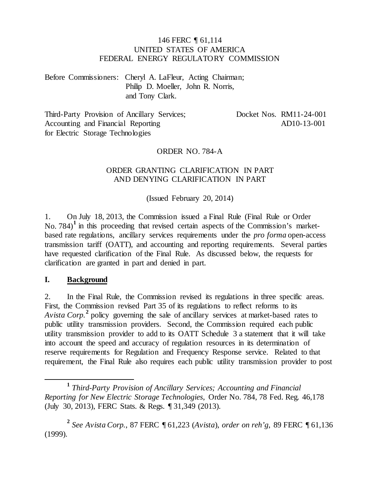#### 146 FERC ¶ 61,114 UNITED STATES OF AMERICA FEDERAL ENERGY REGULATORY COMMISSION

Before Commissioners: Cheryl A. LaFleur, Acting Chairman; Philip D. Moeller, John R. Norris, and Tony Clark.

Third-Party Provision of Ancillary Services; Accounting and Financial Reporting for Electric Storage Technologies

Docket Nos. RM11-24-001 AD10-13-001

#### ORDER NO. 784-A

#### ORDER GRANTING CLARIFICATION IN PART AND DENYING CLARIFICATION IN PART

(Issued February 20, 2014)

1. On July 18, 2013, the Commission issued a Final Rule (Final Rule or Order No. 784)<sup>[1](#page-0-0)</sup> in this proceeding that revised certain aspects of the Commission's marketbased rate regulations, ancillary services requirements under the *pro forma* open-access transmission tariff (OATT), and accounting and reporting requirements. Several parties have requested clarification of the Final Rule. As discussed below, the requests for clarification are granted in part and denied in part.

#### **I. Background**

2. In the Final Rule, the Commission revised its regulations in three specific areas. First, the Commission revised Part 35 of its regulations to reflect reforms to its *Avista Corp.***[2](#page-0-1)** policy governing the sale of ancillary services at market-based rates to public utility transmission providers. Second, the Commission required each public utility transmission provider to add to its OATT Schedule 3 a statement that it will take into account the speed and accuracy of regulation resources in its determination of reserve requirements for Regulation and Frequency Response service. Related to that requirement, the Final Rule also requires each public utility transmission provider to post

<span id="page-0-0"></span>**<sup>1</sup>** *Third-Party Provision of Ancillary Services; Accounting and Financial Reporting for New Electric Storage Technologies*, Order No. 784, 78 Fed. Reg. 46,178 (July 30, 2013), FERC Stats. & Regs. ¶ 31,349 (2013).

<span id="page-0-1"></span>**<sup>2</sup>** *See Avista Corp.*, 87 FERC ¶ 61,223 (*Avista*), *order on reh'g*, 89 FERC ¶ 61,136 (1999).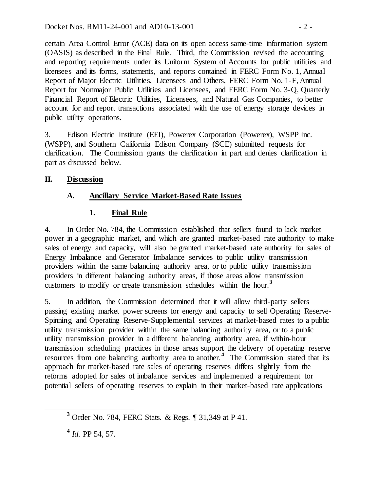certain Area Control Error (ACE) data on its open access same-time information system (OASIS) as described in the Final Rule. Third, the Commission revised the accounting and reporting requirements under its Uniform System of Accounts for public utilities and licensees and its forms, statements, and reports contained in FERC Form No. 1, Annual Report of Major Electric Utilities, Licensees and Others, FERC Form No. 1-F, Annual Report for Nonmajor Public Utilities and Licensees, and FERC Form No. 3-Q, Quarterly Financial Report of Electric Utilities, Licensees, and Natural Gas Companies, to better account for and report transactions associated with the use of energy storage devices in public utility operations.

3. Edison Electric Institute (EEI), Powerex Corporation (Powerex), WSPP Inc. (WSPP), and Southern California Edison Company (SCE) submitted requests for clarification. The Commission grants the clarification in part and denies clarification in part as discussed below.

## **II. Discussion**

# **A. Ancillary Service Market-Based Rate Issues**

## **1. Final Rule**

4. In Order No. 784, the Commission established that sellers found to lack market power in a geographic market, and which are granted market-based rate authority to make sales of energy and capacity, will also be granted market-based rate authority for sales of Energy Imbalance and Generator Imbalance services to public utility transmission providers within the same balancing authority area, or to public utility transmission providers in different balancing authority areas, if those areas allow transmission customers to modify or create transmission schedules within the hour.<sup>[3](#page-1-0)</sup>

5. In addition, the Commission determined that it will allow third-party sellers passing existing market power screens for energy and capacity to sell Operating Reserve-Spinning and Operating Reserve-Supplemental services at market-based rates to a public utility transmission provider within the same balancing authority area, or to a public utility transmission provider in a different balancing authority area, if within-hour transmission scheduling practices in those areas support the delivery of operating reserve resources from one balancing authority area to another.**[4](#page-1-1)** The Commission stated that its approach for market-based rate sales of operating reserves differs slightly from the reforms adopted for sales of imbalance services and implemented a requirement for potential sellers of operating reserves to explain in their market-based rate applications

<span id="page-1-1"></span>**<sup>4</sup>** *Id.* PP 54, 57.

<span id="page-1-0"></span>**<sup>3</sup>** Order No. 784, FERC Stats. & Regs. ¶ 31,349 at P 41.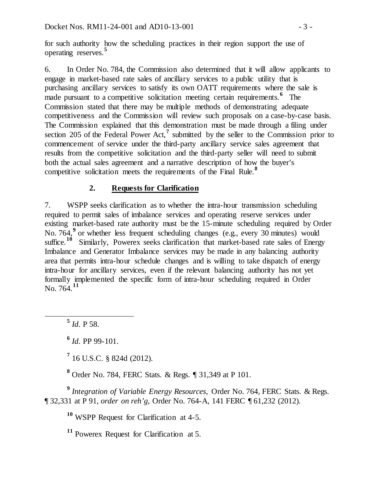for such authority how the scheduling practices in their region support the use of operating reserves. **[5](#page-2-0)**

6. In Order No. 784, the Commission also determined that it will allow applicants to engage in market-based rate sales of ancillary services to a public utility that is purchasing ancillary services to satisfy its own OATT requirements where the sale is made pursuant to a competitive solicitation meeting certain requirements.<sup>[6](#page-2-1)</sup> The Commission stated that there may be multiple methods of demonstrating adequate competitiveness and the Commission will review such proposals on a case-by-case basis. The Commission explained that this demonstration must be made through a filing under section 205 of the Federal Power Act,<sup>[7](#page-2-2)</sup> submitted by the seller to the Commission prior to commencement of service under the third-party ancillary service sales agreement that results from the competitive solicitation and the third-party seller will need to submit both the actual sales agreement and a narrative description of how the buyer's competitive solicitation meets the requirements of the Final Rule. **[8](#page-2-3)**

# **2. Requests for Clarification**

7. WSPP seeks clarification as to whether the intra-hour transmission scheduling required to permit sales of imbalance services and operating reserve services under existing market-based rate authority must be the 15-minute scheduling required by Order No. 764,**[9](#page-2-4)** or whether less frequent scheduling changes (e.g., every 30 minutes) would suffice.<sup>[10](#page-2-5)</sup> Similarly, Powerex seeks clarification that market-based rate sales of Energy Imbalance and Generator Imbalance services may be made in any balancing authority area that permits intra-hour schedule changes and is willing to take dispatch of energy intra-hour for ancillary services, even if the relevant balancing authority has not yet formally implemented the specific form of intra-hour scheduling required in Order No. 764.**[11](#page-2-6)**

<span id="page-2-0"></span>**<sup>5</sup>** *Id*. P 58.

**<sup>6</sup>** *Id*. PP 99-101.

**<sup>7</sup>** 16 U.S.C. § 824d (2012).

**<sup>8</sup>** Order No. 784, FERC Stats. & Regs. ¶ 31,349 at P 101.

<span id="page-2-6"></span><span id="page-2-5"></span><span id="page-2-4"></span><span id="page-2-3"></span><span id="page-2-2"></span><span id="page-2-1"></span>**<sup>9</sup>** *Integration of Variable Energy Resources*, Order No. 764, FERC Stats. & Regs. ¶ 32,331 at P 91, *order on reh'g*, Order No. 764-A, 141 FERC ¶ 61,232 (2012).

**<sup>10</sup>** WSPP Request for Clarification at 4-5.

**<sup>11</sup>** Powerex Request for Clarification at 5.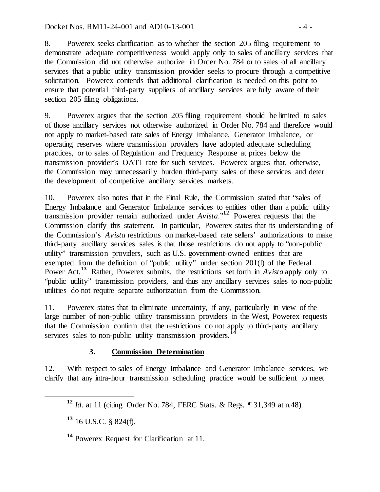8. Powerex seeks clarification as to whether the section 205 filing requirement to demonstrate adequate competitiveness would apply only to sales of ancillary services that the Commission did not otherwise authorize in Order No. 784 or to sales of all ancillary services that a public utility transmission provider seeks to procure through a competitive solicitation. Powerex contends that additional clarification is needed on this point to ensure that potential third-party suppliers of ancillary services are fully aware of their section 205 filing obligations.

9. Powerex argues that the section 205 filing requirement should be limited to sales of those ancillary services not otherwise authorized in Order No. 784 and therefore would not apply to market-based rate sales of Energy Imbalance, Generator Imbalance, or operating reserves where transmission providers have adopted adequate scheduling practices, or to sales of Regulation and Frequency Response at prices below the transmission provider's OATT rate for such services. Powerex argues that, otherwise, the Commission may unnecessarily burden third-party sales of these services and deter the development of competitive ancillary services markets.

10. Powerex also notes that in the Final Rule, the Commission stated that "sales of Energy Imbalance and Generator Imbalance services to entities other than a public utility transmission provider remain authorized under *Avista*."**[12](#page-3-0)** Powerex requests that the Commission clarify this statement. In particular, Powerex states that its understanding of the Commission's *Avista* restrictions on market-based rate sellers' authorizations to make third-party ancillary services sales is that those restrictions do not apply to "non-public utility" transmission providers, such as U.S. government-owned entities that are exempted from the definition of "public utility" under section 201(f) of the Federal Power Act.<sup>[13](#page-3-1)</sup> Rather, Powerex submits, the restrictions set forth in *Avista* apply only to "public utility" transmission providers, and thus any ancillary services sales to non-public utilities do not require separate authorization from the Commission.

11. Powerex states that to eliminate uncertainty, if any, particularly in view of the large number of non-public utility transmission providers in the West, Powerex requests that the Commission confirm that the restrictions do not apply to third-party ancillary services sales to non-public utility transmission providers.<sup>1</sup>

## **3. Commission Determination**

<span id="page-3-0"></span>12. With respect to sales of Energy Imbalance and Generator Imbalance services, we clarify that any intra-hour transmission scheduling practice would be sufficient to meet

**<sup>12</sup>** *Id*. at 11 (citing Order No. 784, FERC Stats. & Regs. ¶ 31,349 at n.48).

<span id="page-3-1"></span>**<sup>13</sup>** 16 U.S.C. § 824(f).

<span id="page-3-2"></span>**<sup>14</sup>** Powerex Request for Clarification at 11.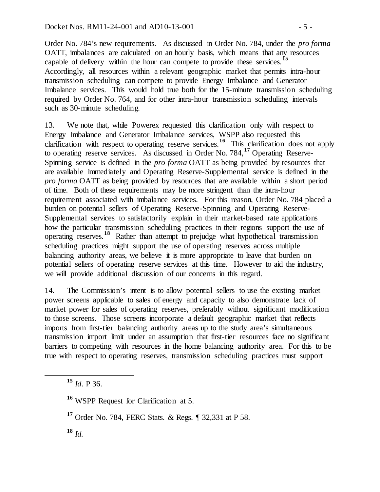Order No. 784's new requirements. As discussed in Order No. 784, under the *pro forma* OATT, imbalances are calculated on an hourly basis, which means that any resources capable of delivery within the hour can compete to provide these services.**[15](#page-4-0)** Accordingly, all resources within a relevant geographic market that permits intra-hour transmission scheduling can compete to provide Energy Imbalance and Generator Imbalance services. This would hold true both for the 15-minute transmission scheduling required by Order No. 764, and for other intra-hour transmission scheduling intervals such as 30-minute scheduling.

13. We note that, while Powerex requested this clarification only with respect to Energy Imbalance and Generator Imbalance services, WSPP also requested this clarification with respect to operating reserve services.<sup>[16](#page-4-1)</sup> This clarification does not apply to operating reserve services. As discussed in Order No. 784,**[17](#page-4-2)** Operating Reserve-Spinning service is defined in the *pro forma* OATT as being provided by resources that are available immediately and Operating Reserve-Supplemental service is defined in the *pro forma* OATT as being provided by resources that are available within a short period of time. Both of these requirements may be more stringent than the intra-hour requirement associated with imbalance services. For this reason, Order No. 784 placed a burden on potential sellers of Operating Reserve-Spinning and Operating Reserve-Supplemental services to satisfactorily explain in their market-based rate applications how the particular transmission scheduling practices in their regions support the use of operating reserves.**[18](#page-4-3)** Rather than attempt to prejudge what hypothetical transmission scheduling practices might support the use of operating reserves across multiple balancing authority areas, we believe it is more appropriate to leave that burden on potential sellers of operating reserve services at this time. However to aid the industry, we will provide additional discussion of our concerns in this regard.

14. The Commission's intent is to allow potential sellers to use the existing market power screens applicable to sales of energy and capacity to also demonstrate lack of market power for sales of operating reserves, preferably without significant modification to those screens. Those screens incorporate a default geographic market that reflects imports from first-tier balancing authority areas up to the study area's simultaneous transmission import limit under an assumption that first-tier resources face no significant barriers to competing with resources in the home balancing authority area. For this to be true with respect to operating reserves, transmission scheduling practices must support

<span id="page-4-0"></span>**<sup>15</sup>** *Id*. P 36.

<span id="page-4-1"></span>**<sup>16</sup>** WSPP Request for Clarification at 5.

<span id="page-4-2"></span>**<sup>17</sup>** Order No. 784, FERC Stats. & Regs. ¶ 32,331 at P 58.

<span id="page-4-3"></span>**<sup>18</sup>** *Id.*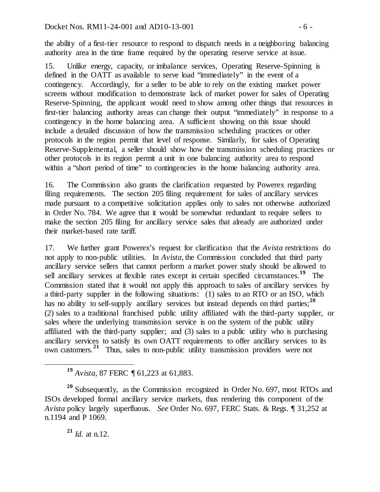the ability of a first-tier resource to respond to dispatch needs in a neighboring balancing authority area in the time frame required by the operating reserve service at issue.

15. Unlike energy, capacity, or imbalance services, Operating Reserve-Spinning is defined in the OATT as available to serve load "immediately" in the event of a contingency. Accordingly, for a seller to be able to rely on the existing market power screens without modification to demonstrate lack of market power for sales of Operating Reserve-Spinning, the applicant would need to show among other things that resources in first-tier balancing authority areas can change their output "immediately" in response to a contingency in the home balancing area. A sufficient showing on this issue should include a detailed discussion of how the transmission scheduling practices or other protocols in the region permit that level of response. Similarly, for sales of Operating Reserve-Supplemental, a seller should show how the transmission scheduling practices or other protocols in its region permit a unit in one balancing authority area to respond within a "short period of time" to contingencies in the home balancing authority area.

16. The Commission also grants the clarification requested by Powerex regarding filing requirements. The section 205 filing requirement for sales of ancillary services made pursuant to a competitive solicitation applies only to sales not otherwise authorized in Order No. 784. We agree that it would be somewhat redundant to require sellers to make the section 205 filing for ancillary service sales that already are authorized under their market-based rate tariff.

17. We further grant Powerex's request for clarification that the *Avista* restrictions do not apply to non-public utilities. In *Avista*, the Commission concluded that third party ancillary service sellers that cannot perform a market power study should be allowed to sell ancillary services at flexible rates except in certain specified circumstances.<sup>[19](#page-5-0)</sup> The Commission stated that it would not apply this approach to sales of ancillary services by a third-party supplier in the following situations: (1) sales to an RTO or an ISO, which has no ability to self-supply ancillary services but instead depends on third parties;<sup>[20](#page-5-1)</sup> (2) sales to a traditional franchised public utility affiliated with the third-party supplier, or sales where the underlying transmission service is on the system of the public utility affiliated with the third-party supplier; and (3) sales to a public utility who is purchasing ancillary services to satisfy its own OATT requirements to offer ancillary services to its own customers.**[21](#page-5-2)** Thus, sales to non-public utility transmission providers were not

**<sup>21</sup>** *Id.* at n.12.

**<sup>19</sup>** *Avista*, 87 FERC ¶ 61,223 at 61,883.

<span id="page-5-2"></span><span id="page-5-1"></span><span id="page-5-0"></span>**<sup>20</sup>** Subsequently, as the Commission recognized in Order No. 697, most RTOs and ISOs developed formal ancillary service markets, thus rendering this component of the *Avista* policy largely superfluous. *See* Order No. 697, FERC Stats. & Regs. ¶ 31,252 at n.1194 and P 1069.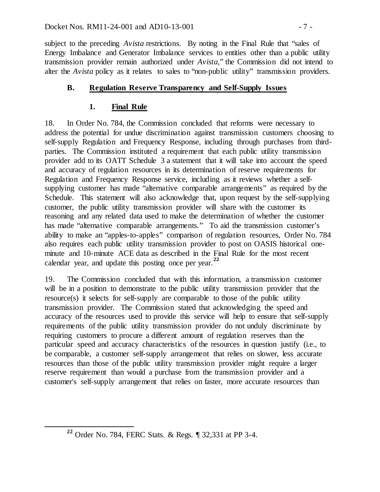subject to the preceding *Avista* restrictions. By noting in the Final Rule that "sales of Energy Imbalance and Generator Imbalance services to entities other than a public utility transmission provider remain authorized under *Avista*," the Commission did not intend to alter the *Avista* policy as it relates to sales to "non-public utility" transmission providers.

## **B. Regulation Reserve Transparency and Self-Supply Issues**

# **1. Final Rule**

18. In Order No. 784, the Commission concluded that reforms were necessary to address the potential for undue discrimination against transmission customers choosing to self-supply Regulation and Frequency Response, including through purchases from thirdparties. The Commission instituted a requirement that each public utility transmission provider add to its OATT Schedule 3 a statement that it will take into account the speed and accuracy of regulation resources in its determination of reserve requirements for Regulation and Frequency Response service, including as it reviews whether a selfsupplying customer has made "alternative comparable arrangements" as required by the Schedule. This statement will also acknowledge that, upon request by the self-supplying customer, the public utility transmission provider will share with the customer its reasoning and any related data used to make the determination of whether the customer has made "alternative comparable arrangements." To aid the transmission customer's ability to make an "apples-to-apples" comparison of regulation resources, Order No. 784 also requires each public utility transmission provider to post on OASIS historical oneminute and 10-minute ACE data as described in the Final Rule for the most recent calendar year, and update this posting once per year.**[22](#page-6-0)**

19. The Commission concluded that with this information, a transmission customer will be in a position to demonstrate to the public utility transmission provider that the resource(s) it selects for self-supply are comparable to those of the public utility transmission provider. The Commission stated that acknowledging the speed and accuracy of the resources used to provide this service will help to ensure that self-supply requirements of the public utility transmission provider do not unduly discriminate by requiring customers to procure a different amount of regulation reserves than the particular speed and accuracy characteristics of the resources in question justify (i.e., to be comparable, a customer self-supply arrangement that relies on slower, less accurate resources than those of the public utility transmission provider might require a larger reserve requirement than would a purchase from the transmission provider and a customer's self-supply arrangement that relies on faster, more accurate resources than

<span id="page-6-0"></span>**<sup>22</sup>** Order No. 784, FERC Stats. & Regs. ¶ 32,331 at PP 3-4.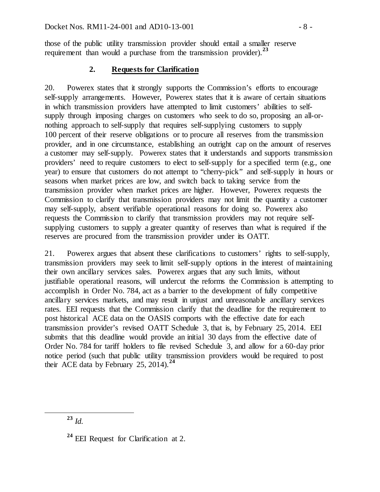those of the public utility transmission provider should entail a smaller reserve requirement than would a purchase from the transmission provider).<sup>[23](#page-7-0)</sup>

#### **2. Requests for Clarification**

20. Powerex states that it strongly supports the Commission's efforts to encourage self-supply arrangements. However, Powerex states that it is aware of certain situations in which transmission providers have attempted to limit customers' abilities to selfsupply through imposing charges on customers who seek to do so, proposing an all-ornothing approach to self-supply that requires self-supplying customers to supply 100 percent of their reserve obligations or to procure all reserves from the transmission provider, and in one circumstance, establishing an outright cap on the amount of reserves a customer may self-supply. Powerex states that it understands and supports transmission providers' need to require customers to elect to self-supply for a specified term (e.g., one year) to ensure that customers do not attempt to "cherry-pick" and self-supply in hours or seasons when market prices are low, and switch back to taking service from the transmission provider when market prices are higher. However, Powerex requests the Commission to clarify that transmission providers may not limit the quantity a customer may self-supply, absent verifiable operational reasons for doing so. Powerex also requests the Commission to clarify that transmission providers may not require selfsupplying customers to supply a greater quantity of reserves than what is required if the reserves are procured from the transmission provider under its OATT.

21. Powerex argues that absent these clarifications to customers' rights to self-supply, transmission providers may seek to limit self-supply options in the interest of maintaining their own ancillary services sales. Powerex argues that any such limits, without justifiable operational reasons, will undercut the reforms the Commission is attempting to accomplish in Order No. 784, act as a barrier to the development of fully competitive ancillary services markets, and may result in unjust and unreasonable ancillary services rates. EEI requests that the Commission clarify that the deadline for the requirement to post historical ACE data on the OASIS comports with the effective date for each transmission provider's revised OATT Schedule 3, that is, by February 25, 2014. EEI submits that this deadline would provide an initial 30 days from the effective date of Order No. 784 for tariff holders to file revised Schedule 3, and allow for a 60-day prior notice period (such that public utility transmission providers would be required to post their ACE data by February 25, 2014).**[24](#page-7-1)**

<span id="page-7-0"></span>**<sup>23</sup>** *Id.*

<span id="page-7-1"></span>**<sup>24</sup>** EEI Request for Clarification at 2.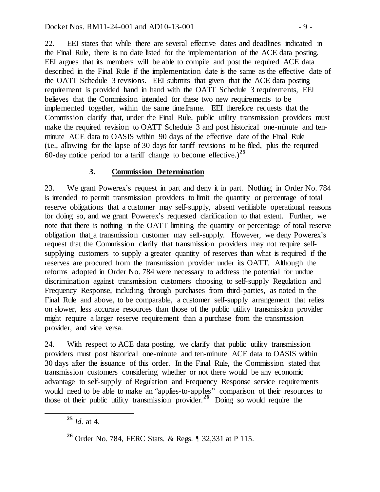22. EEI states that while there are several effective dates and deadlines indicated in the Final Rule, there is no date listed for the implementation of the ACE data posting. EEI argues that its members will be able to compile and post the required ACE data described in the Final Rule if the implementation date is the same as the effective date of the OATT Schedule 3 revisions. EEI submits that given that the ACE data posting requirement is provided hand in hand with the OATT Schedule 3 requirements, EEI believes that the Commission intended for these two new requirements to be implemented together, within the same timeframe. EEI therefore requests that the Commission clarify that, under the Final Rule, public utility transmission providers must make the required revision to OATT Schedule 3 and post historical one-minute and tenminute ACE data to OASIS within 90 days of the effective date of the Final Rule (i.e., allowing for the lapse of 30 days for tariff revisions to be filed, plus the required 60-day notice period for a tariff change to become effective.)**[25](#page-8-0)**

## **3. Commission Determination**

23. We grant Powerex's request in part and deny it in part. Nothing in Order No. 784 is intended to permit transmission providers to limit the quantity or percentage of total reserve obligations that a customer may self-supply, absent verifiable operational reasons for doing so, and we grant Powerex's requested clarification to that extent. Further, we note that there is nothing in the OATT limiting the quantity or percentage of total reserve obligation that a transmission customer may self-supply. However, we deny Powerex's request that the Commission clarify that transmission providers may not require selfsupplying customers to supply a greater quantity of reserves than what is required if the reserves are procured from the transmission provider under its OATT. Although the reforms adopted in Order No. 784 were necessary to address the potential for undue discrimination against transmission customers choosing to self-supply Regulation and Frequency Response, including through purchases from third-parties, as noted in the Final Rule and above, to be comparable, a customer self-supply arrangement that relies on slower, less accurate resources than those of the public utility transmission provider might require a larger reserve requirement than a purchase from the transmission provider, and vice versa.

24. With respect to ACE data posting, we clarify that public utility transmission providers must post historical one-minute and ten-minute ACE data to OASIS within 30 days after the issuance of this order. In the Final Rule, the Commission stated that transmission customers considering whether or not there would be any economic advantage to self-supply of Regulation and Frequency Response service requirements would need to be able to make an "applies-to-apples" comparison of their resources to those of their public utility transmission provider.**[26](#page-8-1)** Doing so would require the

<span id="page-8-0"></span>**<sup>25</sup>** *Id*. at 4.

<span id="page-8-1"></span>**<sup>26</sup>** Order No. 784, FERC Stats. & Regs. ¶ 32,331 at P 115.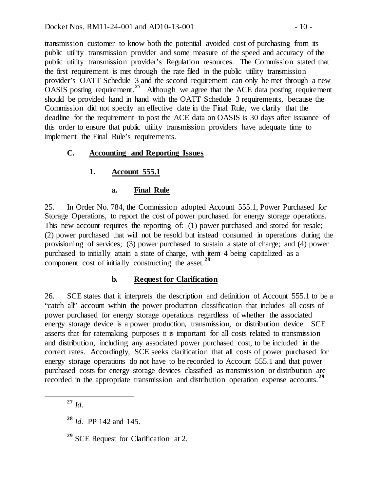transmission customer to know both the potential avoided cost of purchasing from its public utility transmission provider and some measure of the speed and accuracy of the public utility transmission provider's Regulation resources. The Commission stated that the first requirement is met through the rate filed in the public utility transmission provider's OATT Schedule 3 and the second requirement can only be met through a new OASIS posting requirement.**[27](#page-9-0)** Although we agree that the ACE data posting requirement should be provided hand in hand with the OATT Schedule 3 requirements, because the Commission did not specify an effective date in the Final Rule, we clarify that the deadline for the requirement to post the ACE data on OASIS is 30 days after issuance of this order to ensure that public utility transmission providers have adequate time to implement the Final Rule's requirements.

## **C. Accounting and Reporting Issues**

# **1. Account 555.1**

### **a. Final Rule**

25. In Order No. 784, the Commission adopted Account 555.1, Power Purchased for Storage Operations, to report the cost of power purchased for energy storage operations. This new account requires the reporting of: (1) power purchased and stored for resale; (2) power purchased that will not be resold but instead consumed in operations during the provisioning of services; (3) power purchased to sustain a state of charge; and (4) power purchased to initially attain a state of charge, with item 4 being capitalized as a component cost of initially constructing the asset.**[28](#page-9-1)**

## **b. Request for Clarification**

26. SCE states that it interprets the description and definition of Account 555.1 to be a "catch all" account within the power production classification that includes all costs of power purchased for energy storage operations regardless of whether the associated energy storage device is a power production, transmission, or distribution device. SCE asserts that for ratemaking purposes it is important for all costs related to transmission and distribution, including any associated power purchased cost, to be included in the correct rates. Accordingly, SCE seeks clarification that all costs of power purchased for energy storage operations do not have to be recorded to Account 555.1 and that power purchased costs for energy storage devices classified as transmission or distribution are recorded in the appropriate transmission and distribution operation expense accounts.**[29](#page-9-2)**

<span id="page-9-0"></span>**<sup>27</sup>** *Id*.

<span id="page-9-1"></span>**<sup>28</sup>** *Id*. PP 142 and 145.

<span id="page-9-2"></span>**<sup>29</sup>** SCE Request for Clarification at 2.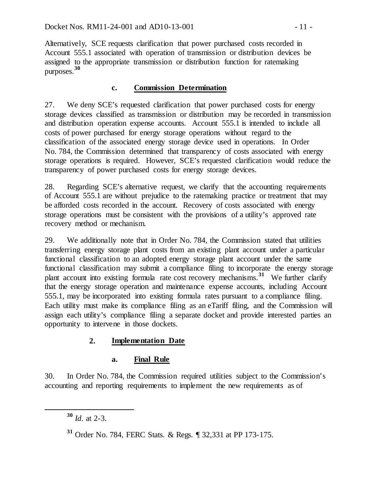Alternatively, SCE requests clarification that power purchased costs recorded in Account 555.1 associated with operation of transmission or distribution devices be assigned to the appropriate transmission or distribution function for ratemaking purposes. **[30](#page-10-0)**

### **c. Commission Determination**

27. We deny SCE's requested clarification that power purchased costs for energy storage devices classified as transmission or distribution may be recorded in transmission and distribution operation expense accounts. Account 555.1 is intended to include all costs of power purchased for energy storage operations without regard to the classification of the associated energy storage device used in operations. In Order No. 784, the Commission determined that transparency of costs associated with energy storage operations is required. However, SCE's requested clarification would reduce the transparency of power purchased costs for energy storage devices.

28. Regarding SCE's alternative request, we clarify that the accounting requirements of Account 555.1 are without prejudice to the ratemaking practice or treatment that may be afforded costs recorded in the account. Recovery of costs associated with energy storage operations must be consistent with the provisions of a utility's approved rate recovery method or mechanism.

29. We additionally note that in Order No. 784, the Commission stated that utilities transferring energy storage plant costs from an existing plant account under a particular functional classification to an adopted energy storage plant account under the same functional classification may submit a compliance filing to incorporate the energy storage plant account into existing formula rate cost recovery mechanisms.**[31](#page-10-1)** We further clarify that the energy storage operation and maintenance expense accounts, including Account 555.1, may be incorporated into existing formula rates pursuant to a compliance filing. Each utility must make its compliance filing as an eTariff filing, and the Commission will assign each utility's compliance filing a separate docket and provide interested parties an opportunity to intervene in those dockets.

## **2. Implementation Date**

#### **a. Final Rule**

<span id="page-10-0"></span>30. In Order No. 784, the Commission required utilities subject to the Commission's accounting and reporting requirements to implement the new requirements as of

**<sup>30</sup>** *Id*. at 2-3.

<span id="page-10-1"></span>**<sup>31</sup>** Order No. 784, FERC Stats. & Regs. ¶ 32,331 at PP 173-175.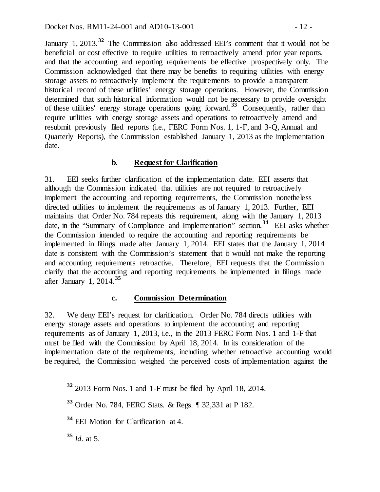January 1, 2013.<sup>[32](#page-11-0)</sup> The Commission also addressed EEI's comment that it would not be beneficial or cost effective to require utilities to retroactively amend prior year reports, and that the accounting and reporting requirements be effective prospectively only. The Commission acknowledged that there may be benefits to requiring utilities with energy storage assets to retroactively implement the requirements to provide a transparent historical record of these utilities' energy storage operations. However, the Commission determined that such historical information would not be necessary to provide oversight of these utilities' energy storage operations going forward.**[33](#page-11-1)** Consequently, rather than require utilities with energy storage assets and operations to retroactively amend and resubmit previously filed reports (i.e., FERC Form Nos. 1, 1-F, and 3-Q, Annual and Quarterly Reports), the Commission established January 1, 2013 as the implementation date.

#### **b. Request for Clarification**

31. EEI seeks further clarification of the implementation date. EEI asserts that although the Commission indicated that utilities are not required to retroactively implement the accounting and reporting requirements, the Commission nonetheless directed utilities to implement the requirements as of January 1, 2013. Further, EEI maintains that Order No. 784 repeats this requirement, along with the January 1, 2013 date, in the "Summary of Compliance and Implementation" section.**[34](#page-11-2)** EEI asks whether the Commission intended to require the accounting and reporting requirements be implemented in filings made after January 1, 2014. EEI states that the January 1, 2014 date is consistent with the Commission's statement that it would not make the reporting and accounting requirements retroactive. Therefore, EEI requests that the Commission clarify that the accounting and reporting requirements be implemented in filings made after January 1, 2014.**[35](#page-11-3)**

#### **c. Commission Determination**

32. We deny EEI's request for clarification. Order No. 784 directs utilities with energy storage assets and operations to implement the accounting and reporting requirements as of January 1, 2013, i.e., in the 2013 FERC Form Nos. 1 and 1-F that must be filed with the Commission by April 18, 2014. In its consideration of the implementation date of the requirements, including whether retroactive accounting would be required, the Commission weighed the perceived costs of implementation against the

<span id="page-11-3"></span>**<sup>35</sup>** *Id*. at 5.

<span id="page-11-0"></span>**<sup>32</sup>** 2013 Form Nos. 1 and 1-F must be filed by April 18, 2014.

<span id="page-11-1"></span>**<sup>33</sup>** Order No. 784, FERC Stats. & Regs. ¶ 32,331 at P 182.

<span id="page-11-2"></span>**<sup>34</sup>** EEI Motion for Clarification at 4.